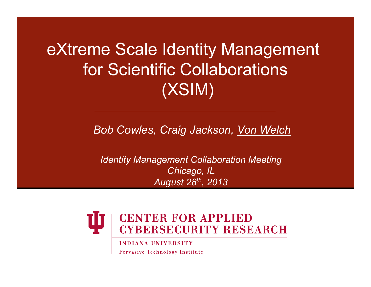# eXtreme Scale Identity Management for Scientific Collaborations (XSIM)

*Bob Cowles, Craig Jackson, Von Welch* 

*Identity Management Collaboration Meeting Chicago, IL August 28th, 2013* 



**INDIANA UNIVERSITY** Pervasive Technology Institute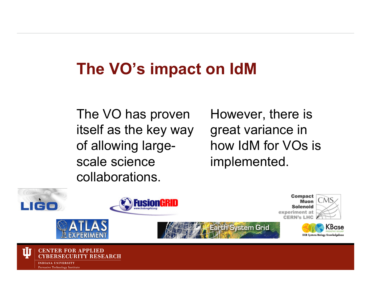# **The VO's impact on IdM**

The VO has proven itself as the key way of allowing largescale science collaborations.

However, there is great variance in how IdM for VOs is implemented.

> Muon Solenoid

> > KBase

DOE Systems Biology Knowledgebase



Pervasive Technology Institute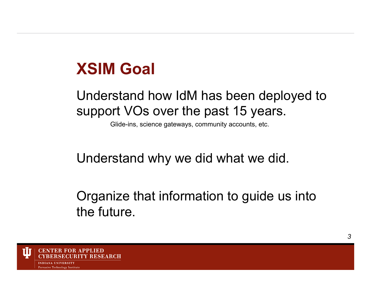### **XSIM Goal**

#### Understand how IdM has been deployed to support VOs over the past 15 years.

Glide-ins, science gateways, community accounts, etc.

#### Understand why we did what we did.

#### Organize that information to guide us into the future.

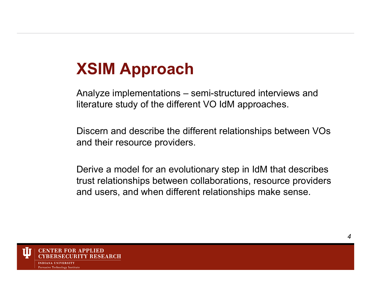# **XSIM Approach**

Analyze implementations – semi-structured interviews and literature study of the different VO IdM approaches.

Discern and describe the different relationships between VOs and their resource providers.

Derive a model for an evolutionary step in IdM that describes trust relationships between collaborations, resource providers and users, and when different relationships make sense.

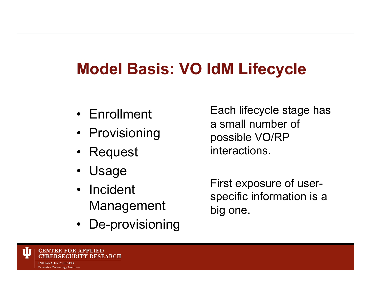# **Model Basis: VO IdM Lifecycle**

- Enrollment
- Provisioning
- Request
- Usage
- Incident Management
- De-provisioning

Each lifecycle stage has a small number of possible VO/RP interactions.

First exposure of userspecific information is a big one.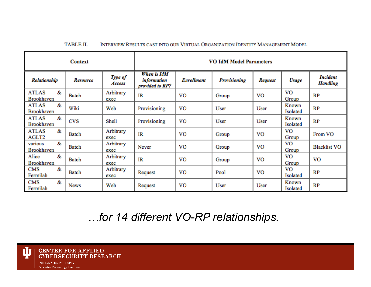#### **TABLE II.** INTERVIEW RESULTS CAST INTO OUR VIRTUAL ORGANIZATION IDENTITY MANAGEMENT MODEL

| <b>Context</b>                         |                 |                   | <b>VO IdM Model Parameters</b>                       |                   |                     |                |                   |                                    |
|----------------------------------------|-----------------|-------------------|------------------------------------------------------|-------------------|---------------------|----------------|-------------------|------------------------------------|
| <b>Relationship</b>                    | <b>Resource</b> | Type of<br>Access | When is IdM<br><i>information</i><br>provided to RP? | <b>Enrollment</b> | <b>Provisioning</b> | <b>Request</b> | Usage             | <b>Incident</b><br><b>Handling</b> |
| &<br><b>ATLAS</b><br>Brookhaven        | Batch           | Arbitrary<br>exec | IR                                                   | <b>VO</b>         | Group               | VO             | VO<br>Group       | RP                                 |
| &<br><b>ATLAS</b><br><b>Brookhaven</b> | Wiki            | Web               | Provisioning                                         | VO                | User                | User           | Known<br>Isolated | RP                                 |
| &<br><b>ATLAS</b><br>Brookhaven        | <b>CVS</b>      | Shell             | Provisioning                                         | VO                | User                | User           | Known<br>Isolated | RP                                 |
| &<br><b>ATLAS</b><br>AGLT2             | Batch           | Arbitrary<br>exec | IR                                                   | VO.               | Group               | VO             | VO<br>Group       | From VO                            |
| &.<br>various<br>Brookhaven            | <b>Batch</b>    | Arbitrary<br>exec | Never                                                | <b>VO</b>         | Group               | VO             | VO<br>Group       | <b>Blacklist VO</b>                |
| &<br>Alice<br>Brookhaven               | Batch           | Arbitrary<br>exec | IR                                                   | VO                | Group               | <b>VO</b>      | vo<br>Group       | VO                                 |
| &<br><b>CMS</b><br>Fermilab            | Batch           | Arbitrary<br>exec | Request                                              | <b>VO</b>         | Pool                | <b>VO</b>      | VO<br>Isolated    | RP                                 |
| &.<br><b>CMS</b><br>Fermilab           | <b>News</b>     | Web               | Request                                              | VO                | User                | User           | Known<br>Isolated | RP                                 |

*…for 14 different VO-RP relationships.* 

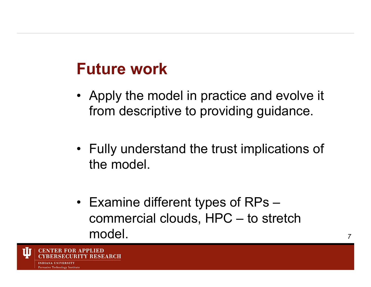## **Future work**

- Apply the model in practice and evolve it from descriptive to providing guidance.
- Fully understand the trust implications of the model.
- Examine different types of RPs commercial clouds, HPC – to stretch model.